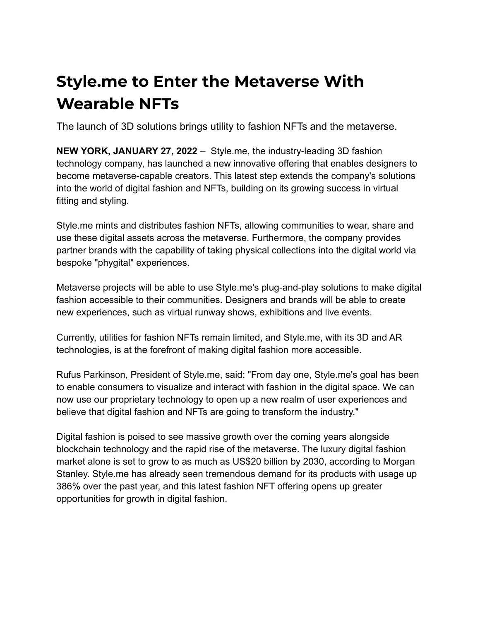## **Style.me to Enter the Metaverse With Wearable NFTs**

The launch of 3D solutions brings utility to fashion NFTs and the metaverse.

**NEW YORK, JANUARY 27, 2022** – Style.me, the industry-leading 3D fashion technology company, has launched a new innovative offering that enables designers to become metaverse-capable creators. This latest step extends the company's solutions into the world of digital fashion and NFTs, building on its growing success in virtual fitting and styling.

Style.me mints and distributes fashion NFTs, allowing communities to wear, share and use these digital assets across the metaverse. Furthermore, the company provides partner brands with the capability of taking physical collections into the digital world via bespoke "phygital" experiences.

Metaverse projects will be able to use Style.me's plug-and-play solutions to make digital fashion accessible to their communities. Designers and brands will be able to create new experiences, such as virtual runway shows, exhibitions and live events.

Currently, utilities for fashion NFTs remain limited, and Style.me, with its 3D and AR technologies, is at the forefront of making digital fashion more accessible.

Rufus Parkinson, President of Style.me, said: "From day one, Style.me's goal has been to enable consumers to visualize and interact with fashion in the digital space. We can now use our proprietary technology to open up a new realm of user experiences and believe that digital fashion and NFTs are going to transform the industry."

Digital fashion is poised to see massive growth over the coming years alongside blockchain technology and the rapid rise of the metaverse. The luxury digital fashion market alone is set to grow to as much as US\$20 billion by 2030, according to Morgan Stanley. Style.me has already seen tremendous demand for its products with usage up 386% over the past year, and this latest fashion NFT offering opens up greater opportunities for growth in digital fashion.